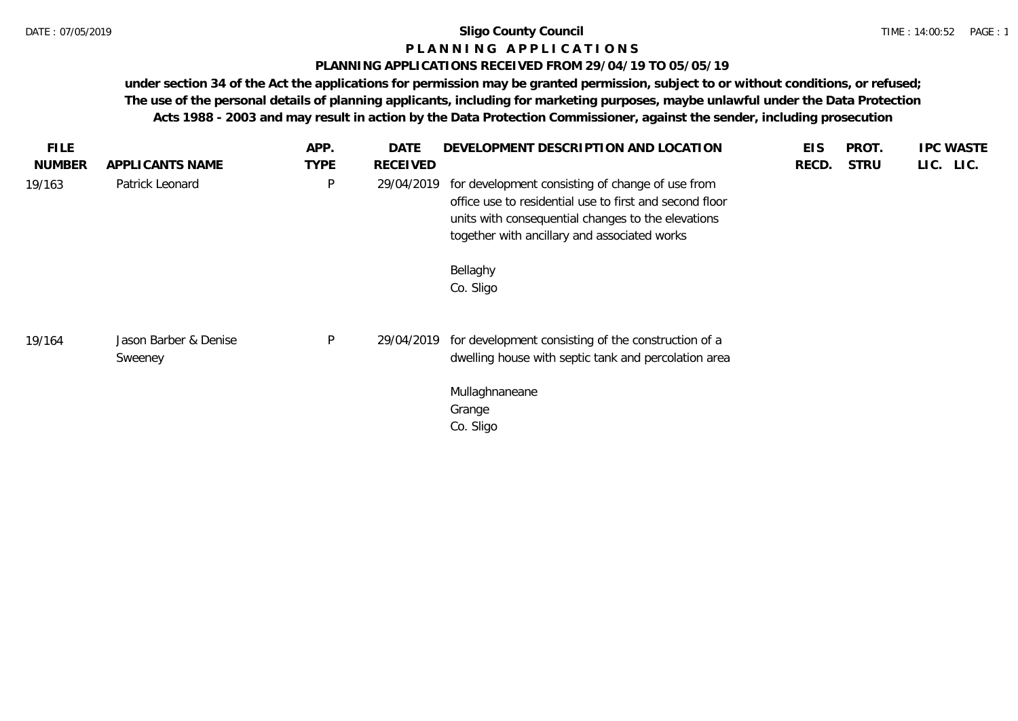# **P L A N N I N G A P P L I C A T I O N S**

# **PLANNING APPLICATIONS RECEIVED FROM 29/04/19 TO 05/05/19**

| FILE.         |                                  | APP.         | DATE       | DEVELOPMENT DESCRIPTION AND LOCATION                                                                                                                                                                              | <b>EIS</b> | PROT.       | <b>IPC WASTE</b> |
|---------------|----------------------------------|--------------|------------|-------------------------------------------------------------------------------------------------------------------------------------------------------------------------------------------------------------------|------------|-------------|------------------|
| <b>NUMBER</b> | APPLICANTS NAME                  | <b>TYPE</b>  | RECEIVED   |                                                                                                                                                                                                                   | RECD.      | <b>STRU</b> | LIC. LIC.        |
| 19/163        | Patrick Leonard                  | $\mathsf{P}$ | 29/04/2019 | for development consisting of change of use from<br>office use to residential use to first and second floor<br>units with consequential changes to the elevations<br>together with ancillary and associated works |            |             |                  |
|               |                                  |              |            | Bellaghy<br>Co. Sligo                                                                                                                                                                                             |            |             |                  |
| 19/164        | Jason Barber & Denise<br>Sweeney | $\mathsf{P}$ | 29/04/2019 | for development consisting of the construction of a<br>dwelling house with septic tank and percolation area                                                                                                       |            |             |                  |
|               |                                  |              |            | Mullaghnaneane<br>Grange<br>Co. Sligo                                                                                                                                                                             |            |             |                  |
|               |                                  |              |            |                                                                                                                                                                                                                   |            |             |                  |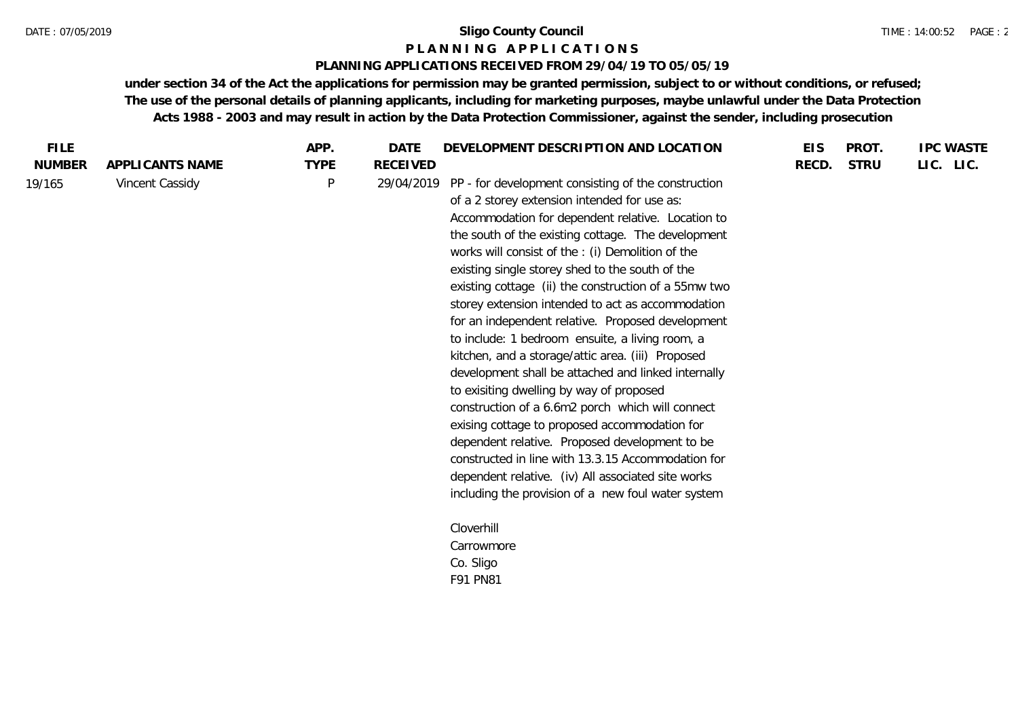#### **P L A N N I N G A P P L I C A T I O N S**

# **PLANNING APPLICATIONS RECEIVED FROM 29/04/19 TO 05/05/19**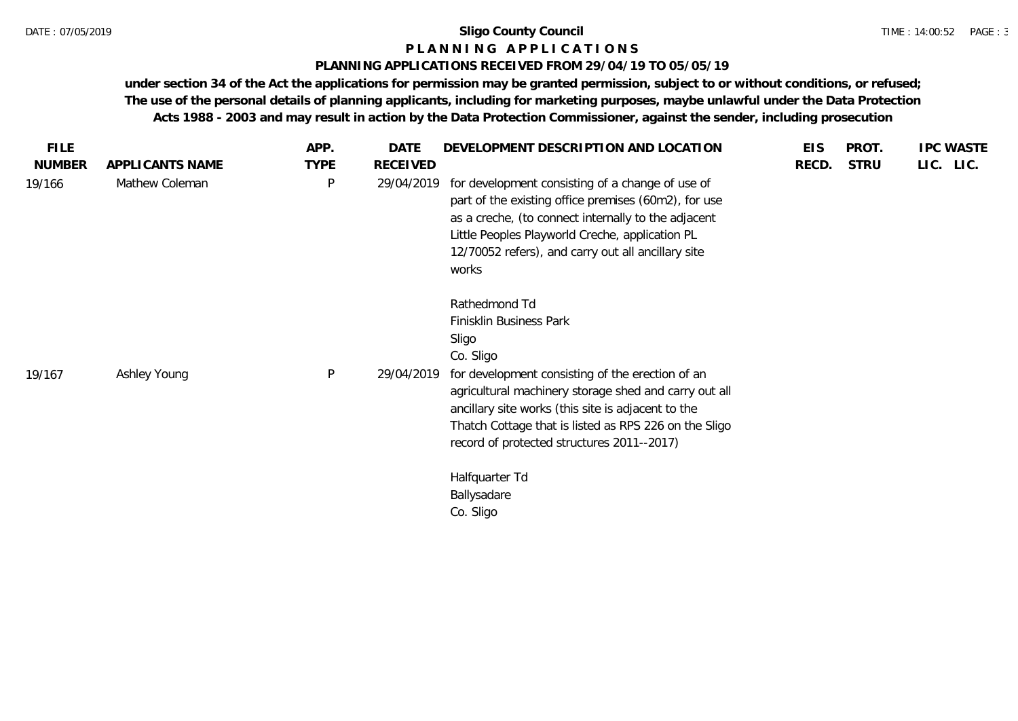# **P L A N N I N G A P P L I C A T I O N S**

## **PLANNING APPLICATIONS RECEIVED FROM 29/04/19 TO 05/05/19**

| <b>FILE</b>   |                 | APP.         | DATE            | DEVELOPMENT DESCRIPTION AND LOCATION                                                                                                                                                                                                                                                                                                                                                   | <b>EIS</b> | PROT.       | <b>IPC WASTE</b> |
|---------------|-----------------|--------------|-----------------|----------------------------------------------------------------------------------------------------------------------------------------------------------------------------------------------------------------------------------------------------------------------------------------------------------------------------------------------------------------------------------------|------------|-------------|------------------|
| <b>NUMBER</b> | APPLICANTS NAME | <b>TYPE</b>  | <b>RECEIVED</b> |                                                                                                                                                                                                                                                                                                                                                                                        | RECD.      | <b>STRU</b> | LIC. LIC.        |
| 19/166        | Mathew Coleman  | $\mathsf{P}$ | 29/04/2019      | for development consisting of a change of use of<br>part of the existing office premises (60m2), for use<br>as a creche, (to connect internally to the adjacent<br>Little Peoples Playworld Creche, application PL<br>12/70052 refers), and carry out all ancillary site<br>works                                                                                                      |            |             |                  |
| 19/167        | Ashley Young    | $\mathsf{P}$ | 29/04/2019      | Rathedmond Td<br>Finisklin Business Park<br>Sligo<br>Co. Sligo<br>for development consisting of the erection of an<br>agricultural machinery storage shed and carry out all<br>ancillary site works (this site is adjacent to the<br>Thatch Cottage that is listed as RPS 226 on the Sligo<br>record of protected structures 2011--2017)<br>Halfquarter Td<br>Ballysadare<br>Co. Sligo |            |             |                  |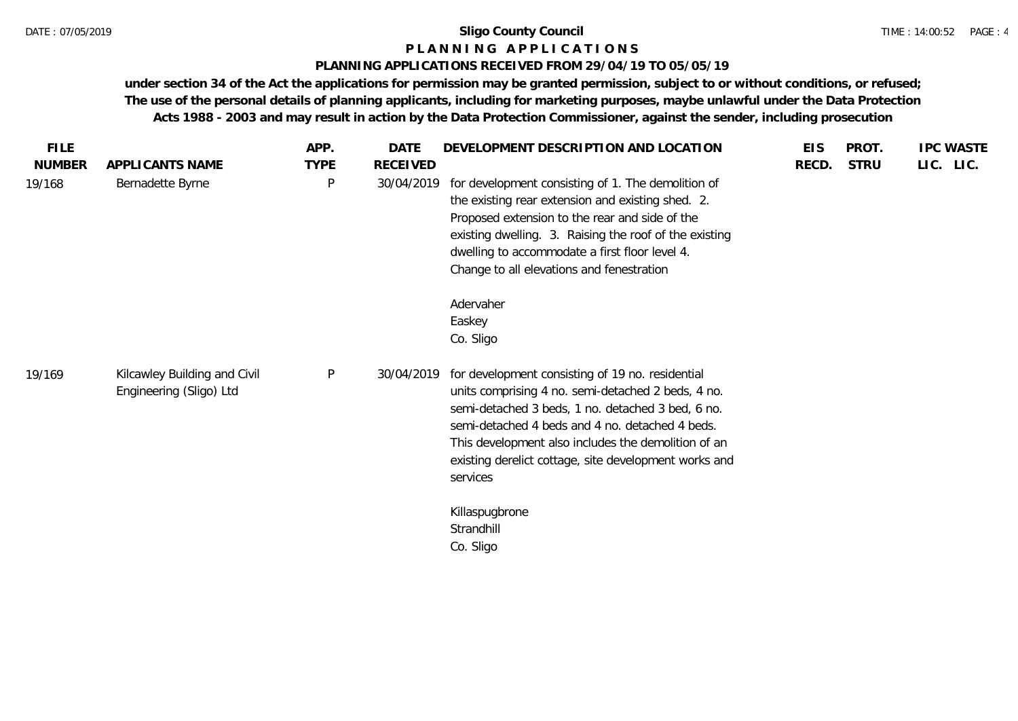## **P L A N N I N G A P P L I C A T I O N S**

## **PLANNING APPLICATIONS RECEIVED FROM 29/04/19 TO 05/05/19**

|           | PROT.       | <b>EIS</b> | DEVELOPMENT DESCRIPTION AND LOCATION                                                                                                                                                                                                                                                                                                       | <b>DATE</b> | APP.        |                                                         | <b>FILE</b>   |
|-----------|-------------|------------|--------------------------------------------------------------------------------------------------------------------------------------------------------------------------------------------------------------------------------------------------------------------------------------------------------------------------------------------|-------------|-------------|---------------------------------------------------------|---------------|
| LIC. LIC. | <b>STRU</b> | RECD.      |                                                                                                                                                                                                                                                                                                                                            | RECEIVED    | <b>TYPE</b> | APPLICANTS NAME                                         | <b>NUMBER</b> |
|           |             |            | for development consisting of 1. The demolition of<br>the existing rear extension and existing shed. 2.<br>Proposed extension to the rear and side of the<br>existing dwelling. 3. Raising the roof of the existing<br>dwelling to accommodate a first floor level 4.<br>Change to all elevations and fenestration                         | 30/04/2019  | $\sf P$     | Bernadette Byrne                                        | 19/168        |
|           |             |            | Adervaher                                                                                                                                                                                                                                                                                                                                  |             |             |                                                         |               |
|           |             |            |                                                                                                                                                                                                                                                                                                                                            |             |             |                                                         |               |
|           |             |            | for development consisting of 19 no. residential<br>units comprising 4 no. semi-detached 2 beds, 4 no.<br>semi-detached 3 beds, 1 no. detached 3 bed, 6 no.<br>semi-detached 4 beds and 4 no. detached 4 beds.<br>This development also includes the demolition of an<br>existing derelict cottage, site development works and<br>services | 30/04/2019  | P           | Kilcawley Building and Civil<br>Engineering (Sligo) Ltd |               |
|           |             |            | Killaspugbrone<br>Strandhill<br>Co. Sligo                                                                                                                                                                                                                                                                                                  |             |             |                                                         |               |
|           |             |            | Easkey<br>Co. Sligo                                                                                                                                                                                                                                                                                                                        |             |             |                                                         | 19/169        |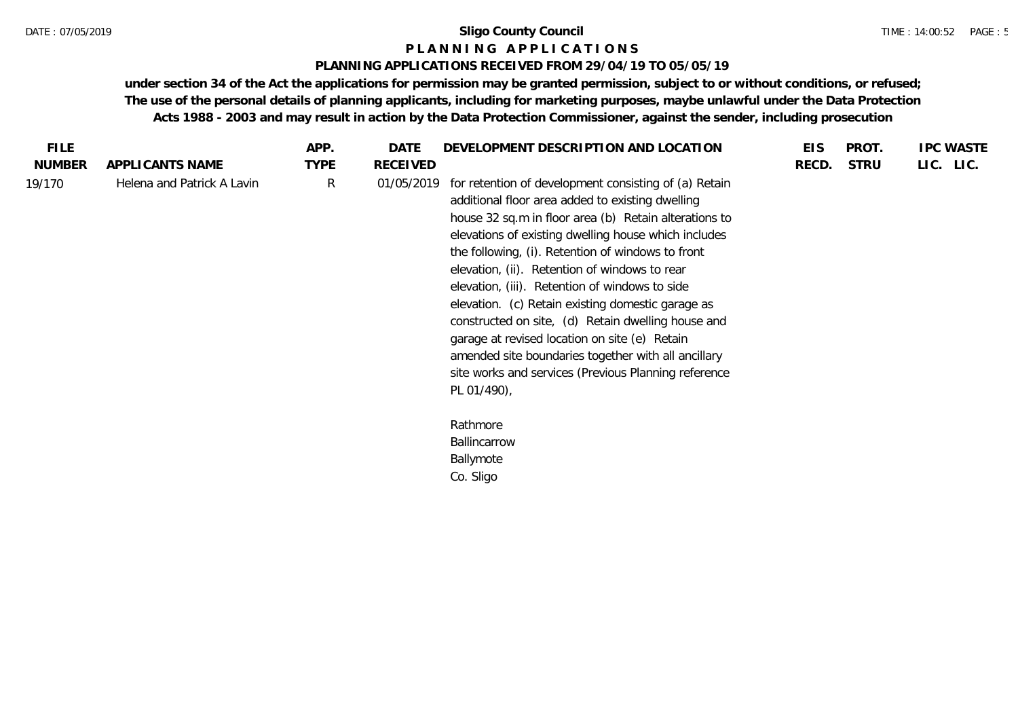## **P L A N N I N G A P P L I C A T I O N S**

# **PLANNING APPLICATIONS RECEIVED FROM 29/04/19 TO 05/05/19**

| <b>FILE</b>   |                            | APP.        | DATE            | DEVELOPMENT DESCRIPTION AND LOCATION                                                                                                                                                                                                                                                                                                                                                                                                                                                                                                                                                                                                                                         | <b>EIS</b> | PROT.       | <b>IPC WASTE</b> |
|---------------|----------------------------|-------------|-----------------|------------------------------------------------------------------------------------------------------------------------------------------------------------------------------------------------------------------------------------------------------------------------------------------------------------------------------------------------------------------------------------------------------------------------------------------------------------------------------------------------------------------------------------------------------------------------------------------------------------------------------------------------------------------------------|------------|-------------|------------------|
| <b>NUMBER</b> | APPLICANTS NAME            | <b>TYPE</b> | <b>RECEIVED</b> |                                                                                                                                                                                                                                                                                                                                                                                                                                                                                                                                                                                                                                                                              | RECD.      | <b>STRU</b> | LIC. LIC.        |
| 19/170        | Helena and Patrick A Lavin | R           | 01/05/2019      | for retention of development consisting of (a) Retain<br>additional floor area added to existing dwelling<br>house 32 sq.m in floor area (b) Retain alterations to<br>elevations of existing dwelling house which includes<br>the following, (i). Retention of windows to front<br>elevation, (ii). Retention of windows to rear<br>elevation, (iii). Retention of windows to side<br>elevation. (c) Retain existing domestic garage as<br>constructed on site, (d) Retain dwelling house and<br>garage at revised location on site (e) Retain<br>amended site boundaries together with all ancillary<br>site works and services (Previous Planning reference<br>PL 01/490), |            |             |                  |
|               |                            |             |                 | Rathmore<br>Ballincarrow<br>Ballymote<br>Co. Sligo                                                                                                                                                                                                                                                                                                                                                                                                                                                                                                                                                                                                                           |            |             |                  |
|               |                            |             |                 |                                                                                                                                                                                                                                                                                                                                                                                                                                                                                                                                                                                                                                                                              |            |             |                  |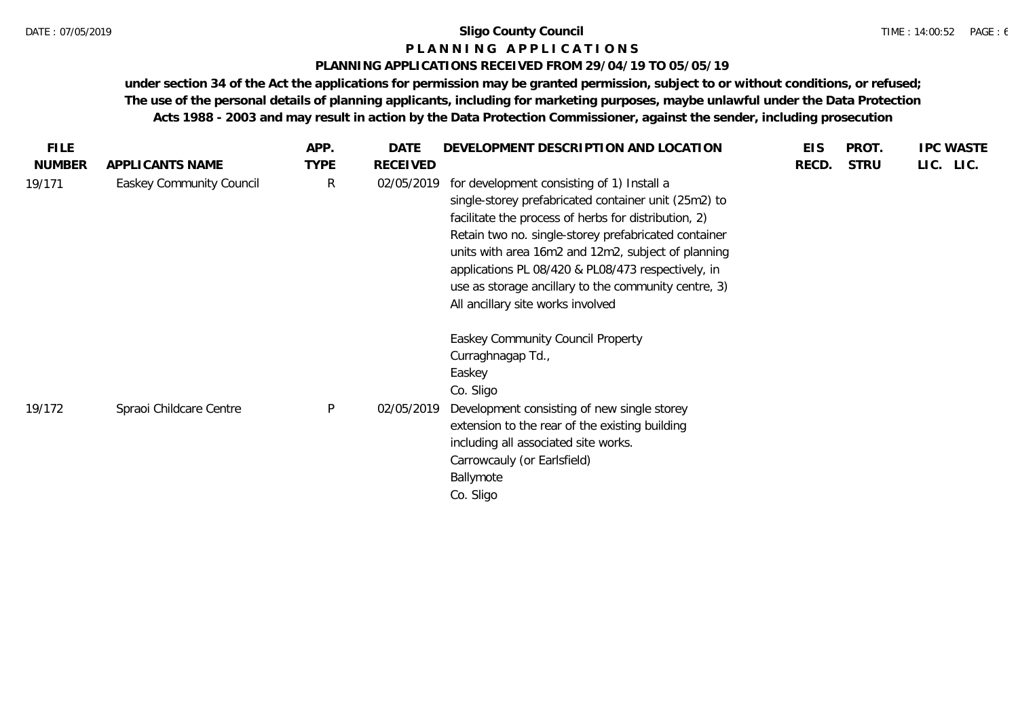# **P L A N N I N G A P P L I C A T I O N S**

# **PLANNING APPLICATIONS RECEIVED FROM 29/04/19 TO 05/05/19**

| <b>FILE</b>   |                          | APP.         | DATE            | DEVELOPMENT DESCRIPTION AND LOCATION                                                                                                                                                                                                                                                                                                                                                                                        | <b>EIS</b> | PROT.       | <b>IPC WASTE</b> |  |
|---------------|--------------------------|--------------|-----------------|-----------------------------------------------------------------------------------------------------------------------------------------------------------------------------------------------------------------------------------------------------------------------------------------------------------------------------------------------------------------------------------------------------------------------------|------------|-------------|------------------|--|
| <b>NUMBER</b> | APPLICANTS NAME          | <b>TYPE</b>  | <b>RECEIVED</b> |                                                                                                                                                                                                                                                                                                                                                                                                                             | RECD.      | <b>STRU</b> | LIC. LIC.        |  |
| 19/171        | Easkey Community Council | R            | 02/05/2019      | for development consisting of 1) Install a<br>single-storey prefabricated container unit (25m2) to<br>facilitate the process of herbs for distribution, 2)<br>Retain two no. single-storey prefabricated container<br>units with area 16m2 and 12m2, subject of planning<br>applications PL 08/420 & PL08/473 respectively, in<br>use as storage ancillary to the community centre, 3)<br>All ancillary site works involved |            |             |                  |  |
| 19/172        | Spraoi Childcare Centre  | $\mathsf{P}$ | 02/05/2019      | Easkey Community Council Property<br>Curraghnagap Td.,<br>Easkey<br>Co. Sligo<br>Development consisting of new single storey<br>extension to the rear of the existing building<br>including all associated site works.<br>Carrowcauly (or Earlsfield)<br>Ballymote<br>Co. Sligo                                                                                                                                             |            |             |                  |  |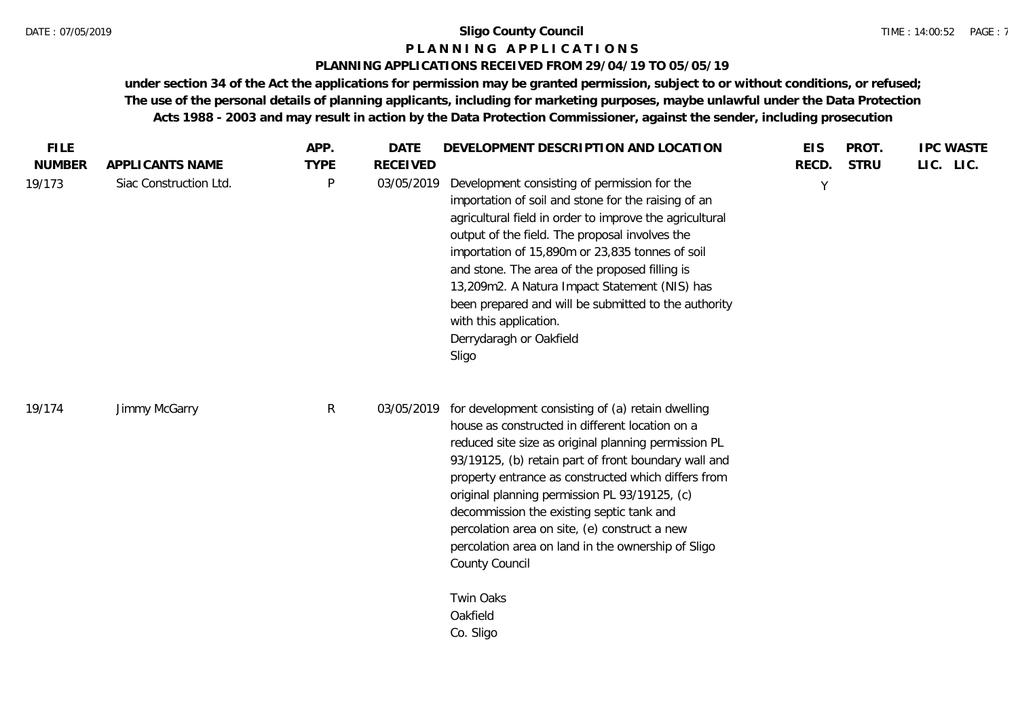## **P L A N N I N G A P P L I C A T I O N S**

## **PLANNING APPLICATIONS RECEIVED FROM 29/04/19 TO 05/05/19**

| <b>FILE</b>             |                                           | APP.             | <b>DATE</b>                   | DEVELOPMENT DESCRIPTION AND LOCATION                                                                                                                                                                                                                                                                                                                                                                                                                                                                                        | <b>EIS</b> | PROT.       | <b>IPC WASTE</b> |
|-------------------------|-------------------------------------------|------------------|-------------------------------|-----------------------------------------------------------------------------------------------------------------------------------------------------------------------------------------------------------------------------------------------------------------------------------------------------------------------------------------------------------------------------------------------------------------------------------------------------------------------------------------------------------------------------|------------|-------------|------------------|
| <b>NUMBER</b><br>19/173 | APPLICANTS NAME<br>Siac Construction Ltd. | <b>TYPE</b><br>P | <b>RECEIVED</b><br>03/05/2019 | Development consisting of permission for the<br>importation of soil and stone for the raising of an<br>agricultural field in order to improve the agricultural<br>output of the field. The proposal involves the<br>importation of 15,890m or 23,835 tonnes of soil<br>and stone. The area of the proposed filling is<br>13,209m2. A Natura Impact Statement (NIS) has<br>been prepared and will be submitted to the authority<br>with this application.<br>Derrydaragh or Oakfield<br>Sligo                                | RECD.<br>Y | <b>STRU</b> | LIC. LIC.        |
| 19/174                  | Jimmy McGarry                             | $\mathsf{R}$     | 03/05/2019                    | for development consisting of (a) retain dwelling<br>house as constructed in different location on a<br>reduced site size as original planning permission PL<br>93/19125, (b) retain part of front boundary wall and<br>property entrance as constructed which differs from<br>original planning permission PL 93/19125, (c)<br>decommission the existing septic tank and<br>percolation area on site, (e) construct a new<br>percolation area on land in the ownership of Sligo<br>County Council<br>Twin Oaks<br>Oakfield |            |             |                  |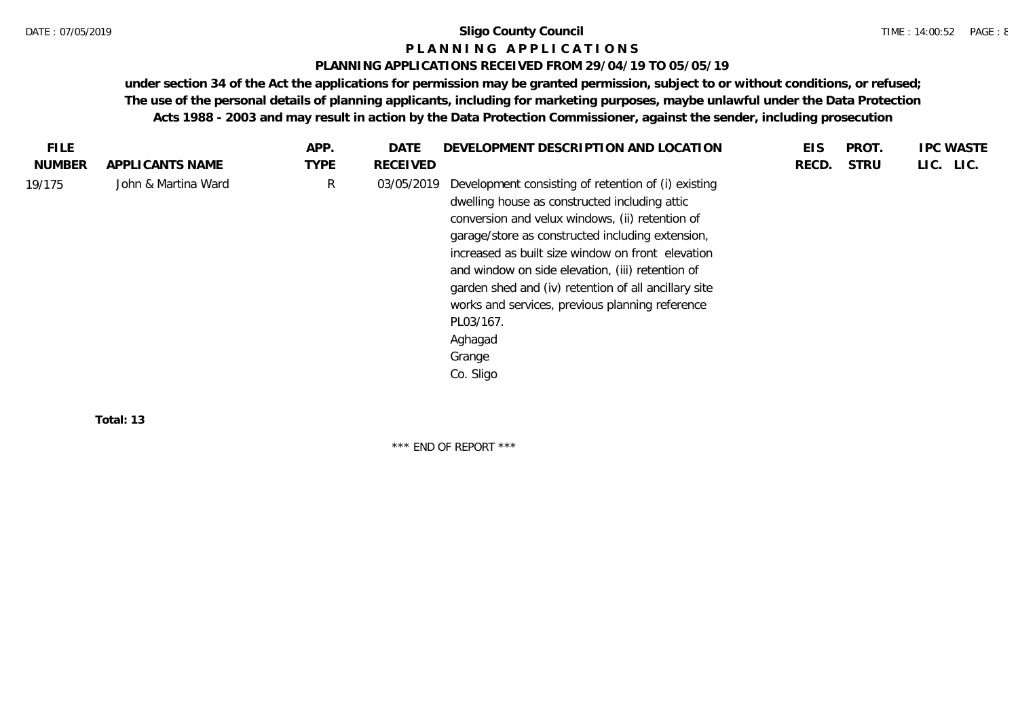#### **P L A N N I N G A P P L I C A T I O N S**

## **PLANNING APPLICATIONS RECEIVED FROM 29/04/19 TO 05/05/19**

**under section 34 of the Act the applications for permission may be granted permission, subject to or without conditions, or refused; The use of the personal details of planning applicants, including for marketing purposes, maybe unlawful under the Data Protection Acts 1988 - 2003 and may result in action by the Data Protection Commissioner, against the sender, including prosecution**

| <b>TYPE</b><br>LIC. LIC.<br><b>NUMBER</b><br><b>STRU</b><br>APPLICANTS NAME<br>RECEIVED<br>RECD.<br>R<br>John & Martina Ward<br>Development consisting of retention of (i) existing<br>03/05/2019<br>dwelling house as constructed including attic<br>conversion and velux windows, (ii) retention of<br>garage/store as constructed including extension,<br>increased as built size window on front elevation<br>and window on side elevation, (iii) retention of<br>garden shed and (iv) retention of all ancillary site<br>works and services, previous planning reference<br>PL03/167.<br>Aghagad<br>Grange<br>Co. Sligo | <b>FILE</b> | APP. | DATE | DEVELOPMENT DESCRIPTION AND LOCATION | EIS | PROT. | <b>IPC WASTE</b> |
|------------------------------------------------------------------------------------------------------------------------------------------------------------------------------------------------------------------------------------------------------------------------------------------------------------------------------------------------------------------------------------------------------------------------------------------------------------------------------------------------------------------------------------------------------------------------------------------------------------------------------|-------------|------|------|--------------------------------------|-----|-------|------------------|
|                                                                                                                                                                                                                                                                                                                                                                                                                                                                                                                                                                                                                              |             |      |      |                                      |     |       |                  |
|                                                                                                                                                                                                                                                                                                                                                                                                                                                                                                                                                                                                                              | 19/175      |      |      |                                      |     |       |                  |

**Total: 13**

\*\*\* END OF REPORT \*\*\*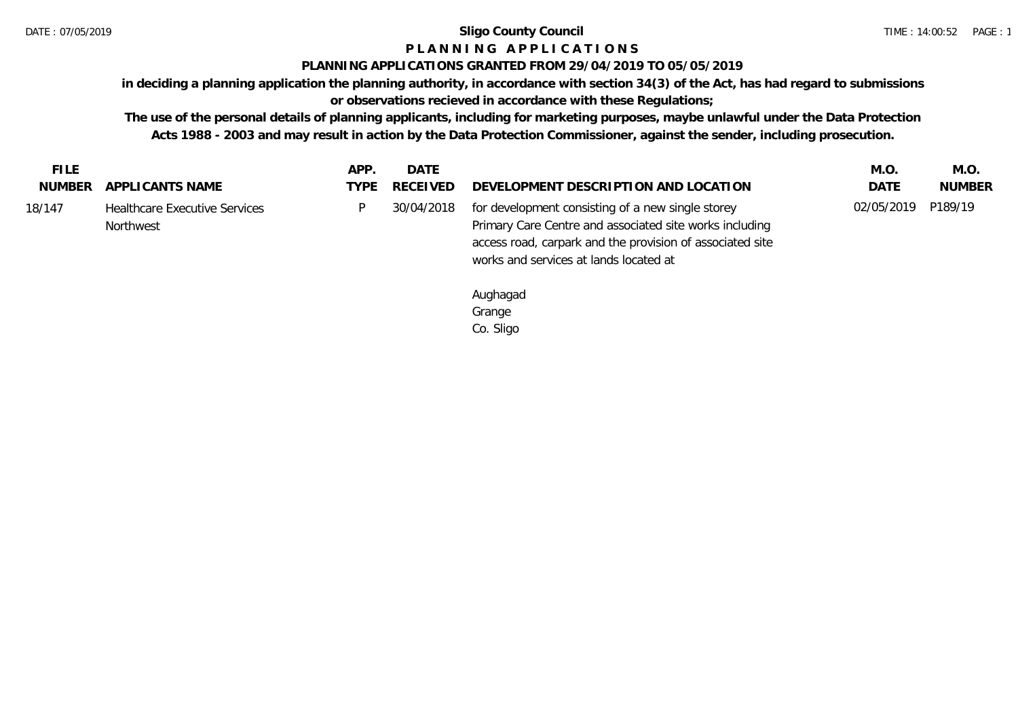# **P L A N N I N G A P P L I C A T I O N S**

# **PLANNING APPLICATIONS GRANTED FROM 29/04/2019 TO 05/05/2019**

**in deciding a planning application the planning authority, in accordance with section 34(3) of the Act, has had regard to submissions** 

**or observations recieved in accordance with these Regulations;**

**The use of the personal details of planning applicants, including for marketing purposes, maybe unlawful under the Data Protection Acts 1988 - 2003 and may result in action by the Data Protection Commissioner, against the sender, including prosecution.**

| NUMBER APPLICANTS NAME<br>DEVELOPMENT DESCRIPTION AND LOCATION<br>TYPE RECEIVED<br><b>DATE</b><br><b>NUMBER</b><br>P189/19<br>02/05/2019<br>for development consisting of a new single storey<br><b>Healthcare Executive Services</b><br>30/04/2018<br>Primary Care Centre and associated site works including<br>Northwest<br>access road, carpark and the provision of associated site<br>works and services at lands located at | <b>FILE</b> | APP. | DATE | M.O. | M.O. |
|------------------------------------------------------------------------------------------------------------------------------------------------------------------------------------------------------------------------------------------------------------------------------------------------------------------------------------------------------------------------------------------------------------------------------------|-------------|------|------|------|------|
| 18/147                                                                                                                                                                                                                                                                                                                                                                                                                             |             |      |      |      |      |
|                                                                                                                                                                                                                                                                                                                                                                                                                                    |             |      |      |      |      |

Aughagad Grange Co. Sligo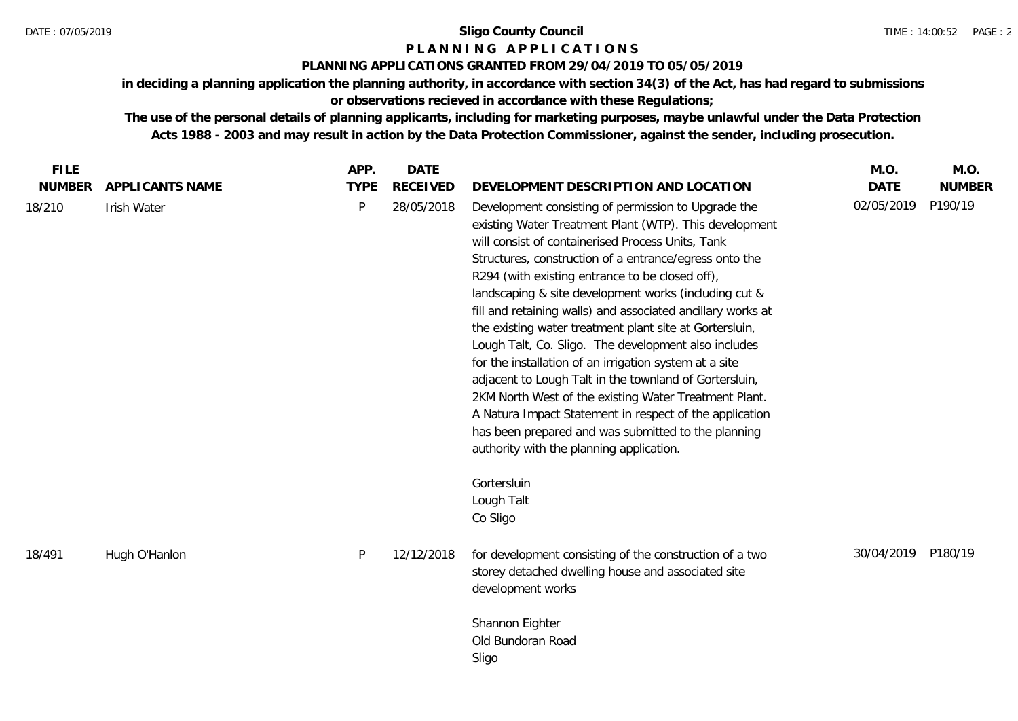# **P L A N N I N G A P P L I C A T I O N S**

# **PLANNING APPLICATIONS GRANTED FROM 29/04/2019 TO 05/05/2019**

**in deciding a planning application the planning authority, in accordance with section 34(3) of the Act, has had regard to submissions or observations recieved in accordance with these Regulations;**

| <b>FILE</b>   |                 | APP.        | <b>DATE</b>     |                                                                                                                                                                                                                                                                                                                                                                                                                                                                                                                                                                                                                                                                                                                                                                                                                                                                                                                | M.O.        | M.O.          |
|---------------|-----------------|-------------|-----------------|----------------------------------------------------------------------------------------------------------------------------------------------------------------------------------------------------------------------------------------------------------------------------------------------------------------------------------------------------------------------------------------------------------------------------------------------------------------------------------------------------------------------------------------------------------------------------------------------------------------------------------------------------------------------------------------------------------------------------------------------------------------------------------------------------------------------------------------------------------------------------------------------------------------|-------------|---------------|
| <b>NUMBER</b> | APPLICANTS NAME | <b>TYPE</b> | <b>RECEIVED</b> | DEVELOPMENT DESCRIPTION AND LOCATION                                                                                                                                                                                                                                                                                                                                                                                                                                                                                                                                                                                                                                                                                                                                                                                                                                                                           | <b>DATE</b> | <b>NUMBER</b> |
| 18/210        | Irish Water     | P           | 28/05/2018      | Development consisting of permission to Upgrade the<br>existing Water Treatment Plant (WTP). This development<br>will consist of containerised Process Units, Tank<br>Structures, construction of a entrance/egress onto the<br>R294 (with existing entrance to be closed off),<br>landscaping & site development works (including cut &<br>fill and retaining walls) and associated ancillary works at<br>the existing water treatment plant site at Gortersluin,<br>Lough Talt, Co. Sligo. The development also includes<br>for the installation of an irrigation system at a site<br>adjacent to Lough Talt in the townland of Gortersluin,<br>2KM North West of the existing Water Treatment Plant.<br>A Natura Impact Statement in respect of the application<br>has been prepared and was submitted to the planning<br>authority with the planning application.<br>Gortersluin<br>Lough Talt<br>Co Sligo | 02/05/2019  | P190/19       |
| 18/491        | Hugh O'Hanlon   | P           | 12/12/2018      | for development consisting of the construction of a two<br>storey detached dwelling house and associated site<br>development works<br>Shannon Eighter<br>Old Bundoran Road<br>Sligo                                                                                                                                                                                                                                                                                                                                                                                                                                                                                                                                                                                                                                                                                                                            | 30/04/2019  | P180/19       |
|               |                 |             |                 |                                                                                                                                                                                                                                                                                                                                                                                                                                                                                                                                                                                                                                                                                                                                                                                                                                                                                                                |             |               |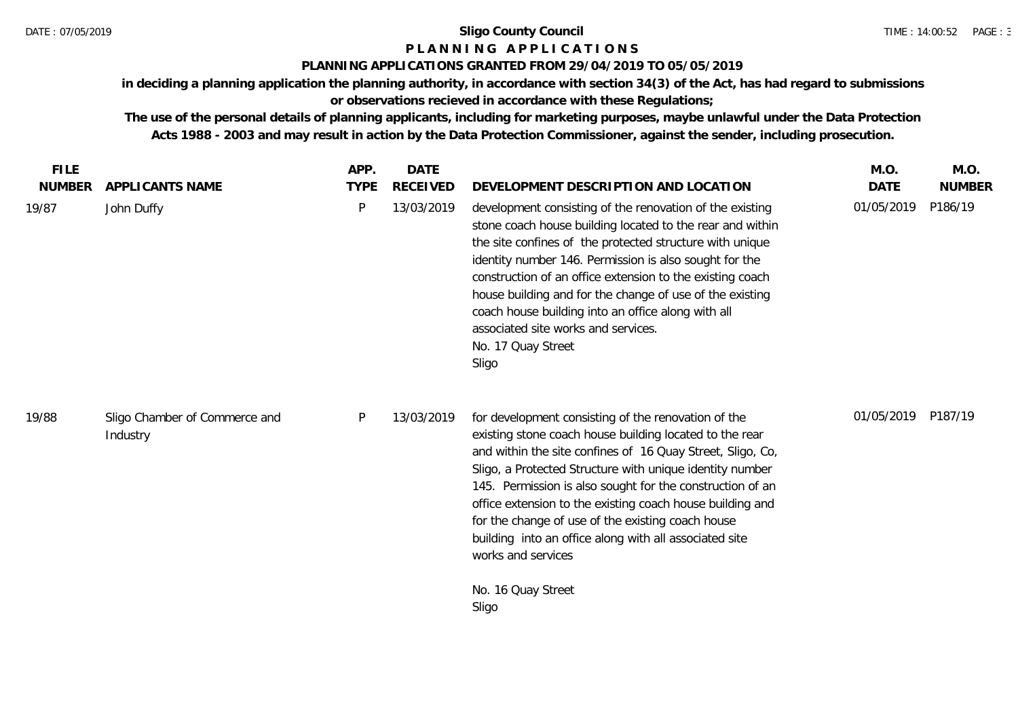# **P L A N N I N G A P P L I C A T I O N S**

# **PLANNING APPLICATIONS GRANTED FROM 29/04/2019 TO 05/05/2019**

**in deciding a planning application the planning authority, in accordance with section 34(3) of the Act, has had regard to submissions** 

# **or observations recieved in accordance with these Regulations;**

| <b>FILE</b><br><b>NUMBER</b> | APPLICANTS NAME                           | APP.<br><b>TYPE</b> | <b>DATE</b><br><b>RECEIVED</b> | DEVELOPMENT DESCRIPTION AND LOCATION                                                                                                                                                                                                                                                                                                                                                                                                                                                                                          | M.O.<br><b>DATE</b> | M.O.<br><b>NUMBER</b> |
|------------------------------|-------------------------------------------|---------------------|--------------------------------|-------------------------------------------------------------------------------------------------------------------------------------------------------------------------------------------------------------------------------------------------------------------------------------------------------------------------------------------------------------------------------------------------------------------------------------------------------------------------------------------------------------------------------|---------------------|-----------------------|
| 19/87                        | John Duffy                                | P                   | 13/03/2019                     | development consisting of the renovation of the existing<br>stone coach house building located to the rear and within<br>the site confines of the protected structure with unique<br>identity number 146. Permission is also sought for the<br>construction of an office extension to the existing coach<br>house building and for the change of use of the existing<br>coach house building into an office along with all<br>associated site works and services.<br>No. 17 Quay Street<br>Sligo                              | 01/05/2019          | P186/19               |
| 19/88                        | Sligo Chamber of Commerce and<br>Industry | P                   | 13/03/2019                     | for development consisting of the renovation of the<br>existing stone coach house building located to the rear<br>and within the site confines of 16 Quay Street, Sligo, Co,<br>Sligo, a Protected Structure with unique identity number<br>145. Permission is also sought for the construction of an<br>office extension to the existing coach house building and<br>for the change of use of the existing coach house<br>building into an office along with all associated site<br>works and services<br>No. 16 Quay Street | 01/05/2019          | P187/19               |
|                              |                                           |                     |                                | Sligo                                                                                                                                                                                                                                                                                                                                                                                                                                                                                                                         |                     |                       |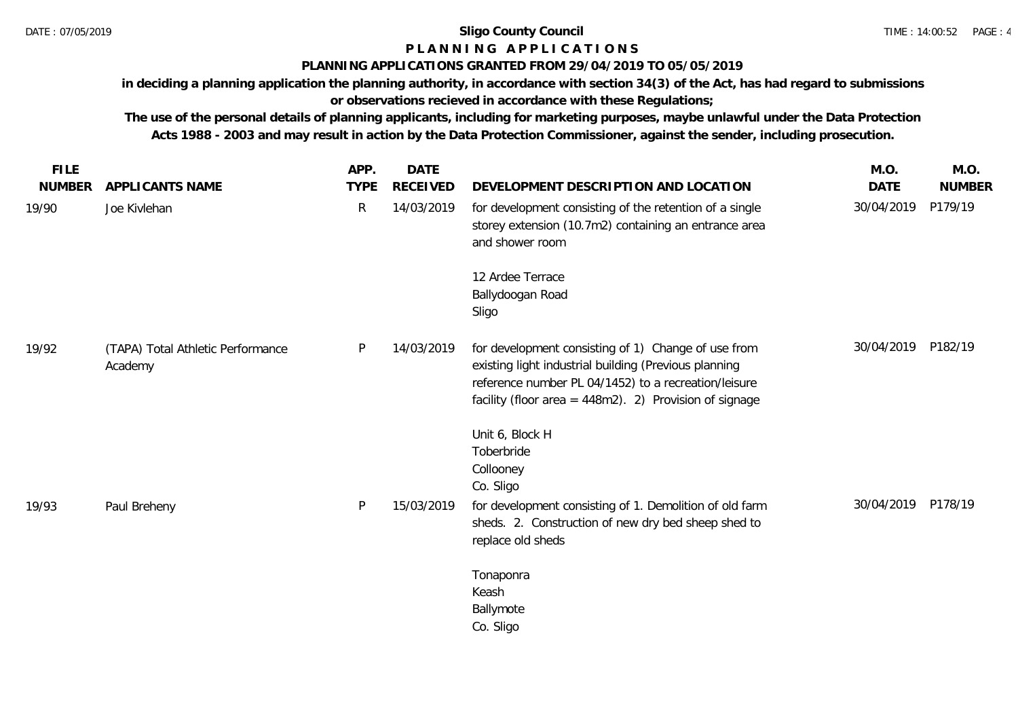# **P L A N N I N G A P P L I C A T I O N S**

# **PLANNING APPLICATIONS GRANTED FROM 29/04/2019 TO 05/05/2019**

**in deciding a planning application the planning authority, in accordance with section 34(3) of the Act, has had regard to submissions or observations recieved in accordance with these Regulations;**

| <b>FILE</b>   |                                              | APP.         | <b>DATE</b>     |                                                                                                                                                                                                                                   | M.O.               | M.O.    |
|---------------|----------------------------------------------|--------------|-----------------|-----------------------------------------------------------------------------------------------------------------------------------------------------------------------------------------------------------------------------------|--------------------|---------|
| <b>NUMBER</b> | APPLICANTS NAME                              | <b>TYPE</b>  | <b>RECEIVED</b> | DEVELOPMENT DESCRIPTION AND LOCATION                                                                                                                                                                                              | <b>DATE</b>        | NUMBER  |
| 19/90         | Joe Kivlehan                                 | $\mathsf{R}$ | 14/03/2019      | for development consisting of the retention of a single<br>storey extension (10.7m2) containing an entrance area<br>and shower room                                                                                               | 30/04/2019         | P179/19 |
|               |                                              |              |                 | 12 Ardee Terrace<br>Ballydoogan Road<br>Sligo                                                                                                                                                                                     |                    |         |
| 19/92         | (TAPA) Total Athletic Performance<br>Academy | P.           | 14/03/2019      | for development consisting of 1) Change of use from<br>existing light industrial building (Previous planning<br>reference number PL 04/1452) to a recreation/leisure<br>facility (floor area = $448m2$ ). 2) Provision of signage | 30/04/2019 P182/19 |         |
|               |                                              |              |                 | Unit 6, Block H<br>Toberbride<br>Collooney<br>Co. Sligo                                                                                                                                                                           |                    |         |
| 19/93         | Paul Breheny                                 | P            | 15/03/2019      | for development consisting of 1. Demolition of old farm<br>sheds. 2. Construction of new dry bed sheep shed to<br>replace old sheds                                                                                               | 30/04/2019 P178/19 |         |
|               |                                              |              |                 | Tonaponra<br>Keash<br>Ballymote<br>Co. Sligo                                                                                                                                                                                      |                    |         |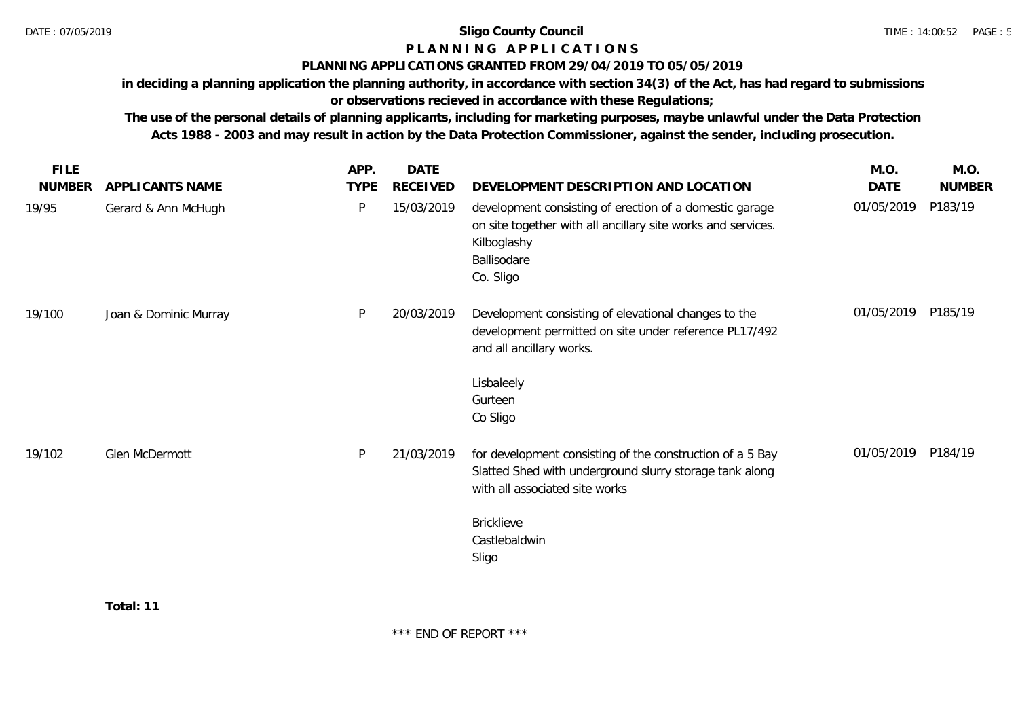**Total: 11**

#### DATE : 07/05/2019 **Sligo County Council**

# **P L A N N I N G A P P L I C A T I O N S**

# **PLANNING APPLICATIONS GRANTED FROM 29/04/2019 TO 05/05/2019**

**in deciding a planning application the planning authority, in accordance with section 34(3) of the Act, has had regard to submissions** 

**or observations recieved in accordance with these Regulations;**

| <b>FILE</b>   |                       | APP.        | DATE            |                                                                                                                                                                    | M.O.       | M.O.          |
|---------------|-----------------------|-------------|-----------------|--------------------------------------------------------------------------------------------------------------------------------------------------------------------|------------|---------------|
| <b>NUMBER</b> | APPLICANTS NAME       | <b>TYPE</b> | <b>RECEIVED</b> | DEVELOPMENT DESCRIPTION AND LOCATION                                                                                                                               | DATE       | <b>NUMBER</b> |
| 19/95         | Gerard & Ann McHugh   | P           | 15/03/2019      | development consisting of erection of a domestic garage<br>on site together with all ancillary site works and services.<br>Kilboglashy<br>Ballisodare<br>Co. Sligo | 01/05/2019 | P183/19       |
| 19/100        | Joan & Dominic Murray | P           | 20/03/2019      | Development consisting of elevational changes to the<br>development permitted on site under reference PL17/492<br>and all ancillary works.                         | 01/05/2019 | P185/19       |
|               |                       |             |                 | Lisbaleely<br>Gurteen<br>Co Sligo                                                                                                                                  |            |               |
| 19/102        | Glen McDermott        | <b>P</b>    | 21/03/2019      | for development consisting of the construction of a 5 Bay<br>Slatted Shed with underground slurry storage tank along<br>with all associated site works             | 01/05/2019 | P184/19       |
|               |                       |             |                 | <b>Bricklieve</b><br>Castlebaldwin<br>Sligo                                                                                                                        |            |               |
|               |                       |             |                 |                                                                                                                                                                    |            |               |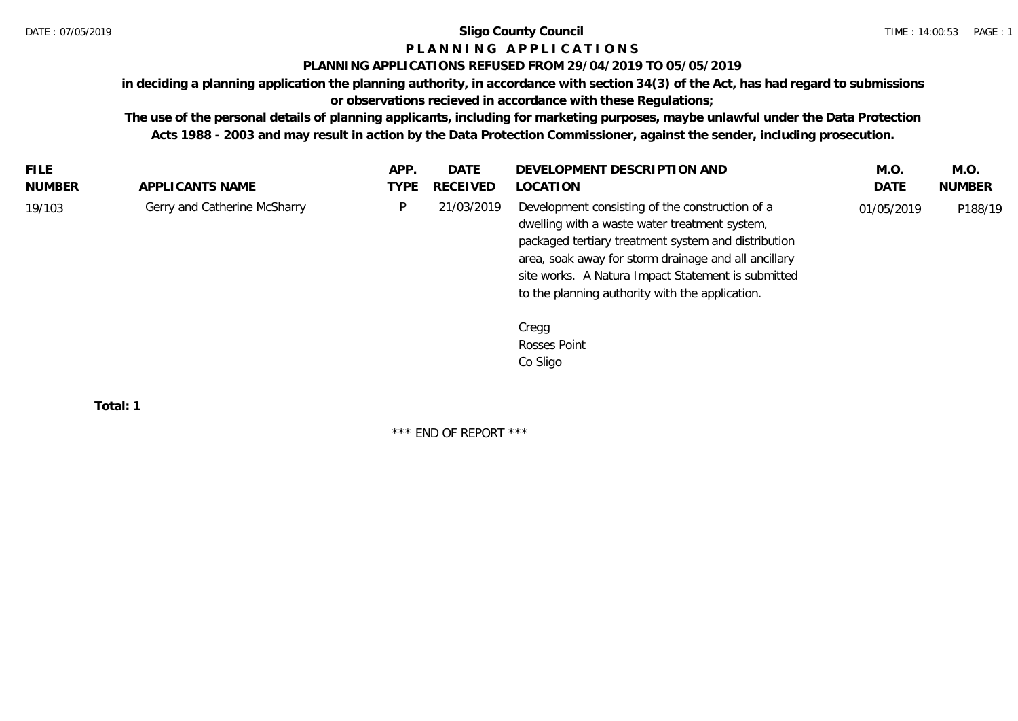# **P L A N N I N G A P P L I C A T I O N S**

# **PLANNING APPLICATIONS REFUSED FROM 29/04/2019 TO 05/05/2019**

**in deciding a planning application the planning authority, in accordance with section 34(3) of the Act, has had regard to submissions** 

# **or observations recieved in accordance with these Regulations;**

**The use of the personal details of planning applicants, including for marketing purposes, maybe unlawful under the Data Protection Acts 1988 - 2003 and may result in action by the Data Protection Commissioner, against the sender, including prosecution.**

| <b>FILE</b> |                              | APP. | DATE            | DEVELOPMENT DESCRIPTION AND                                                                                                                                                                                                                                                                                              | M.O.       | M.O.          |
|-------------|------------------------------|------|-----------------|--------------------------------------------------------------------------------------------------------------------------------------------------------------------------------------------------------------------------------------------------------------------------------------------------------------------------|------------|---------------|
| NUMBER      | APPLICANTS NAME              | TYPE | <b>RECEIVED</b> | LOCATION                                                                                                                                                                                                                                                                                                                 | DATE       | <b>NUMBER</b> |
| 19/103      | Gerry and Catherine McSharry |      | 21/03/2019      | Development consisting of the construction of a<br>dwelling with a waste water treatment system,<br>packaged tertiary treatment system and distribution<br>area, soak away for storm drainage and all ancillary<br>site works. A Natura Impact Statement is submitted<br>to the planning authority with the application. | 01/05/2019 | P188/19       |
|             |                              |      |                 | Cregg                                                                                                                                                                                                                                                                                                                    |            |               |
|             |                              |      |                 | Rosses Point                                                                                                                                                                                                                                                                                                             |            |               |

Co Sligo

**Total: 1**

\*\*\* END OF REPORT \*\*\*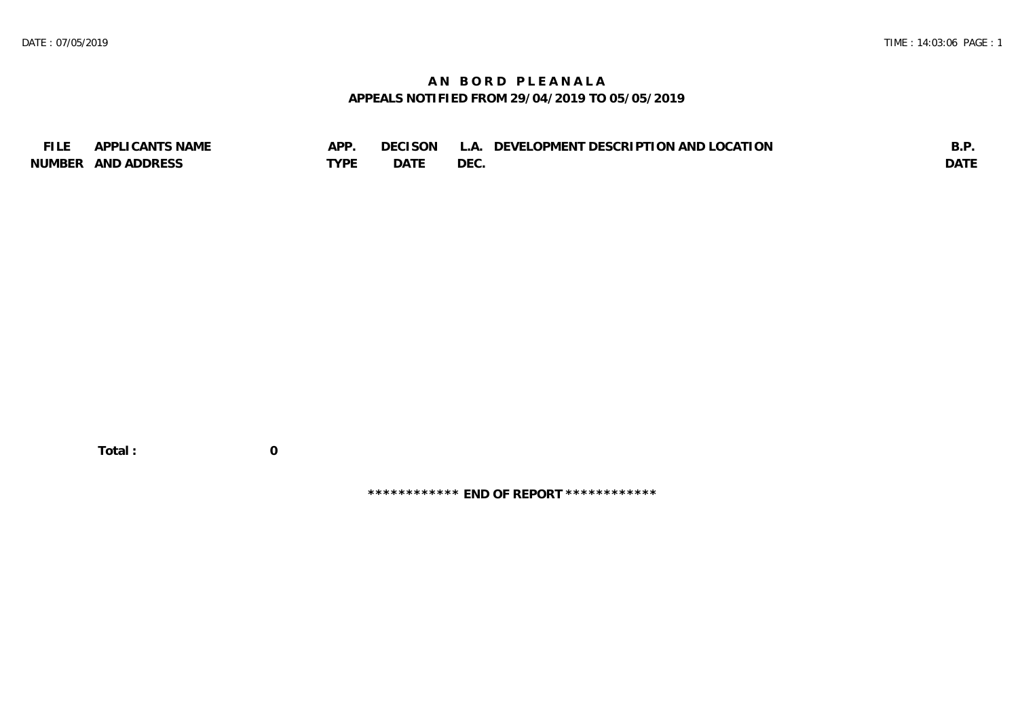# **A N B O R D P L E A N A L A APPEALS NOTIFIED FROM 29/04/2019 TO 05/05/2019**

| <b>FILE</b> | APPLICANTS NAME    | APP  | DECISON | L.A. DEVELOPMENT DESCRIPTION AND LOCATION | B.F         |
|-------------|--------------------|------|---------|-------------------------------------------|-------------|
|             | NUMBER AND ADDRESS | TYPF | DATF    | DEC.                                      | <b>DATE</b> |

**\*\*\*\*\*\*\*\*\*\*\*\* END OF REPORT \*\*\*\*\*\*\*\*\*\*\*\***